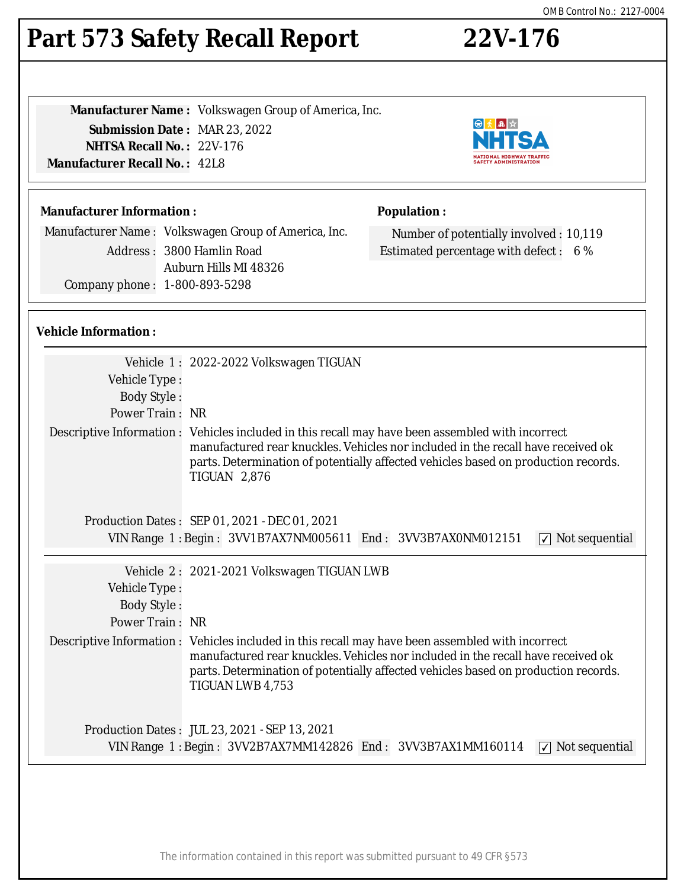# Part 573 Safety Recall Report 22V-176

**Manufacturer Name :** Volkswagen Group of America, Inc. **Submission Date :** MAR 23, 2022 **NHTSA Recall No. :** 22V-176 **Manufacturer Recall No. :** 42L8

## **Manufacturer Information :**

Manufacturer Name : Volkswagen Group of America, Inc. Address : 3800 Hamlin Road Auburn Hills MI 48326 Company phone : 1-800-893-5298

## **Population :**

Number of potentially involved : 10,119 Estimated percentage with defect : 6 %

日本風☆ NHT

**NATIONAL HIGHWAY TRAFFIC<br>SAFETY ADMINISTRATION** 

### **Vehicle Information :**

|                                                                                           | Vehicle 1: 2022-2022 Volkswagen TIGUAN                                                                                                                                                                                                                                                             |  |
|-------------------------------------------------------------------------------------------|----------------------------------------------------------------------------------------------------------------------------------------------------------------------------------------------------------------------------------------------------------------------------------------------------|--|
| Vehicle Type:                                                                             |                                                                                                                                                                                                                                                                                                    |  |
| <b>Body Style:</b>                                                                        |                                                                                                                                                                                                                                                                                                    |  |
| Power Train: NR                                                                           |                                                                                                                                                                                                                                                                                                    |  |
|                                                                                           | Descriptive Information : Vehicles included in this recall may have been assembled with incorrect<br>manufactured rear knuckles. Vehicles nor included in the recall have received ok<br>parts. Determination of potentially affected vehicles based on production records.<br><b>TIGUAN 2,876</b> |  |
|                                                                                           | Production Dates: SEP 01, 2021 - DEC 01, 2021                                                                                                                                                                                                                                                      |  |
| VIN Range 1: Begin: 3VV1B7AX7NM005611 End: 3VV3B7AX0NM012151<br>$\sqrt{ }$ Not sequential |                                                                                                                                                                                                                                                                                                    |  |
|                                                                                           |                                                                                                                                                                                                                                                                                                    |  |
|                                                                                           | Vehicle 2: 2021-2021 Volkswagen TIGUAN LWB                                                                                                                                                                                                                                                         |  |
| Vehicle Type:                                                                             |                                                                                                                                                                                                                                                                                                    |  |
| <b>Body Style:</b>                                                                        |                                                                                                                                                                                                                                                                                                    |  |
| Power Train: NR                                                                           |                                                                                                                                                                                                                                                                                                    |  |
|                                                                                           | Descriptive Information : Vehicles included in this recall may have been assembled with incorrect<br>manufactured rear knuckles. Vehicles nor included in the recall have received ok<br>parts. Determination of potentially affected vehicles based on production records.<br>TIGUAN LWB 4,753    |  |
|                                                                                           | Production Dates: JUL 23, 2021 - SEP 13, 2021                                                                                                                                                                                                                                                      |  |
| VIN Range 1: Begin: 3VV2B7AX7MM142826 End: 3VV3B7AX1MM160114<br>$\sqrt{ }$ Not sequential |                                                                                                                                                                                                                                                                                                    |  |
|                                                                                           |                                                                                                                                                                                                                                                                                                    |  |

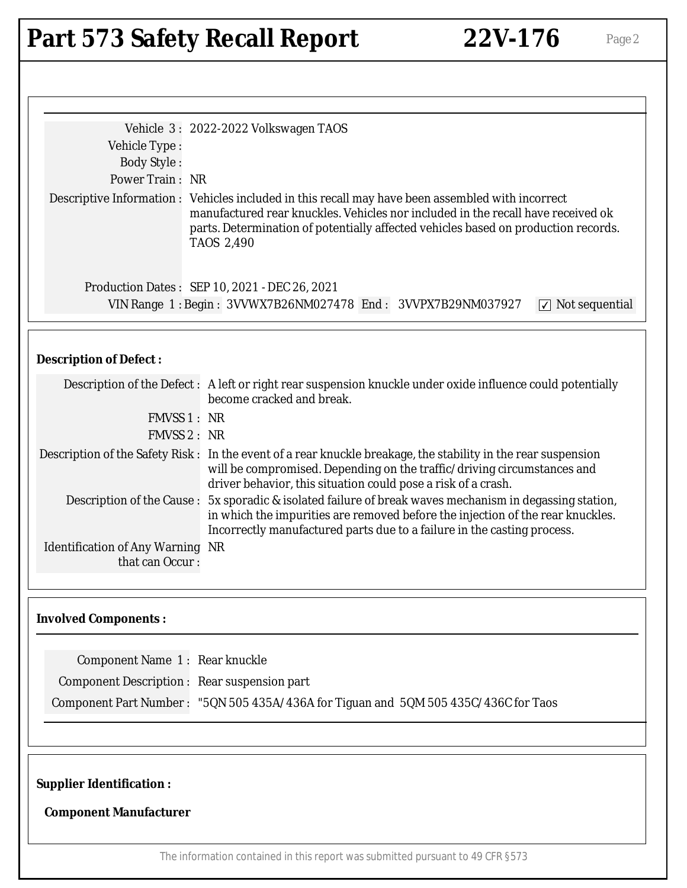# Part 573 Safety Recall Report 22V-176 Page 2

| Vehicle 3: 2022-2022 Volkswagen TAOS<br>Vehicle Type:<br><b>Body Style:</b> |                                                                                                                                                                                                                                                                             |
|-----------------------------------------------------------------------------|-----------------------------------------------------------------------------------------------------------------------------------------------------------------------------------------------------------------------------------------------------------------------------|
| Power Train: NR                                                             |                                                                                                                                                                                                                                                                             |
| <b>TAOS 2,490</b>                                                           | Descriptive Information : Vehicles included in this recall may have been assembled with incorrect<br>manufactured rear knuckles. Vehicles nor included in the recall have received ok<br>parts. Determination of potentially affected vehicles based on production records. |
| Production Dates: SEP 10, 2021 - DEC 26, 2021                               |                                                                                                                                                                                                                                                                             |
|                                                                             | VIN Range 1: Begin: 3VVWX7B26NM027478 End: 3VVPX7B29NM037927<br>$\sqrt{ }$ Not sequential                                                                                                                                                                                   |
| <b>Description of Defect:</b>                                               |                                                                                                                                                                                                                                                                             |
| become cracked and break.                                                   | Description of the Defect: A left or right rear suspension knuckle under oxide influence could potentially                                                                                                                                                                  |
| <b>FMVSS 1: NR</b>                                                          |                                                                                                                                                                                                                                                                             |
| <b>FMVSS 2: NR</b>                                                          |                                                                                                                                                                                                                                                                             |
|                                                                             | Description of the Safety Risk: In the event of a rear knuckle breakage, the stability in the rear suspension<br>will be compromised. Depending on the traffic/driving circumstances and<br>driver behavior, this situation could pose a risk of a crash.                   |
| Description of the Cause:                                                   | 5x sporadic & isolated failure of break waves mechanism in degassing station,<br>in which the impurities are removed before the injection of the rear knuckles.<br>Incorrectly manufactured parts due to a failure in the casting process.                                  |
| <b>Identification of Any Warning NR</b><br>that can Occur:                  |                                                                                                                                                                                                                                                                             |
| <b>Involved Components:</b>                                                 |                                                                                                                                                                                                                                                                             |
| Component Name 1: Rear knuckle                                              |                                                                                                                                                                                                                                                                             |
| Component Description : Rear suspension part                                |                                                                                                                                                                                                                                                                             |
|                                                                             | Component Part Number: "5QN 505 435A/436A for Tiguan and 5QM 505 435C/436C for Taos                                                                                                                                                                                         |
| <b>Supplier Identification:</b><br><b>Component Manufacturer</b>            |                                                                                                                                                                                                                                                                             |
|                                                                             | The information contained in this report was submitted pursuant to 49 CFR §573                                                                                                                                                                                              |